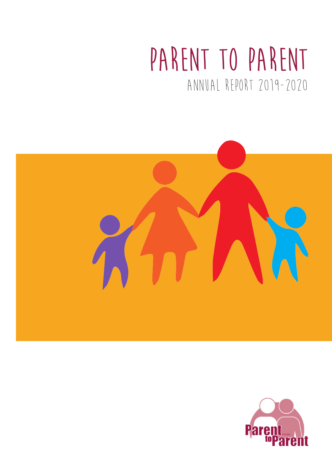# **Parent to Parent** Annual report 2019-2020



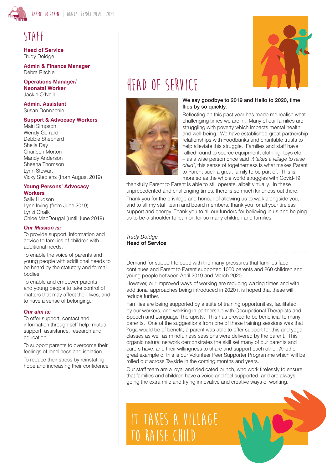

### **Staff**

**Head of Service** Trudy Doidge

**Admin & Finance Manager** Debra Ritchie

**Operations Manager/ Neonatal Worker** Jackie O'Neill

**Admin. Assistant** Susan Donnachie

#### **Support & Advocacy Workers**

Mairi Simpson Wendy Gerrard Debbie Shepherd Sheila Day Charleen Morton Mandy Anderson Sheena Thomson Lynn Stewart Vicky Stepiens (from August 2019)

#### **Young Persons' Advocacy Workers**

Sally Hudson Lynn Irving (from June 2019) Lynzi Chalk Chloe MacDougal (until June 2019)

#### *Our Mission is:*

To provide support, information and advice to families of children with additional needs.

To enable the voice of parents and young people with additional needs to be heard by the statutory and formal bodies.

To enable and empower parents and young people to take control of matters that may affect their lives, and to have a sense of belonging.

#### *Our aim is:*

To offer support, contact and information through self-help, mutual support, assistance, research and education

To support parents to overcome their feelings of loneliness and isolation

To reduce their stress by reinstating hope and increasing their confidence



## **Head of Service**



#### We say goodbye to 2019 and Hello to 2020, time flies by so quickly.

Reflecting on this past year has made me realise what challenging times we are in. Many of our families are struggling with poverty which impacts mental health and well-being. We have established great partnership relationships with Foodbanks and charitable trusts to help alleviate this struggle. Families and staff have rallied round to source equipment, clothing, toys etc. – as a wise person once said *'it takes a village to raise child'*, this sense of togetherness is what makes Parent to Parent such a great family to be part of. This is more so as the whole world struggles with Covid-19,

thankfully Parent to Parent is able to still operate, albeit virtually. In these unprecedented and challenging times, there is so much kindness out there.

Thank you for the privilege and honour of allowing us to walk alongside you, and to all my staff team and board members, thank you for all your tireless support and energy. Thank you to all our funders for believing in us and helping us to be a shoulder to lean on for so many children and families.

*Trudy Doidge* **Head of Service**

Demand for support to cope with the many pressures that families face continues and Parent to Parent supported 1050 parents and 260 children and young people between April 2019 and March 2020.

However, our improved ways of working are reducing waiting times and with additional approaches being introduced in 2020 it is hoped that these will reduce further.

Families are being supported by a suite of training opportunities, facilitated by our workers, and working in partnership with Occupational Therapists and Speech and Language Therapists. This has proved to be beneficial to many parents. One of the suggestions from one of these training sessions was that Yoga would be of benefit; a parent was able to offer support for this and yoga classes as well as mindfulness sessions were delivered by the parent. This organic natural network demonstrates the skill set many of our parents and carers have, and their willingness to share and support each other. Another great example of this is our Volunteer Peer Supporter Programme which will be rolled out across Tayside in the coming months and years.

Our staff team are a loyal and dedicated bunch, who work tirelessly to ensure that families and children have a voice and feel supported, and are always going the extra mile and trying innovative and creative ways of working.

**it takes a village to raise child**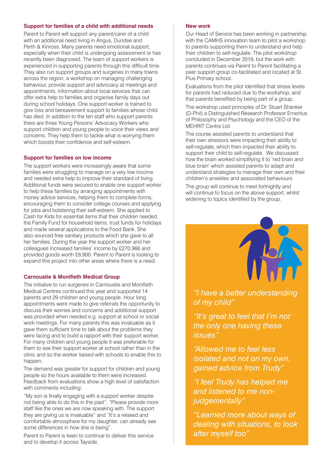#### **Support for families of a child with additional needs**

Parent to Parent will support any parent/carer of a child with an additional need living in Angus, Dundee and Perth & Kinross. Many parents need emotional support, especially when their child is undergoing assessment or has recently been diagnosed. The team of support workers is experienced in supporting parents through this difficult time. They also run support groups and surgeries in many towns across the region, a workshop on managing challenging behaviour, provide support and advocacy at meetings and appointments, information about local services that can offer extra help to families and organise family days out during school holidays. One support worker is trained to give loss and bereavement support to families whose child has died. In addition to the ten staff who support parents there are three Young Persons' Advocacy Workers who support children and young people to voice their views and concerns. They help them to tackle what is worrying them which boosts their confidence and self-esteem.

#### **Support for families on low income**

The support workers were increasingly aware that some families were struggling to manage on a very low income and needed extra help to improve their standard of living. Additional funds were secured to enable one support worker to help these families by arranging appointments with money advice services, helping them to complete forms, encouraging them to consider college courses and applying for jobs and bolstering their self-esteem. She applied to Cash for Kids for essential items that their children needed, the Family Fund for household items, trust funds for holidays and made several applications to the Food Bank. She also sourced free sanitary products which she gave to all her families. During the year the support worker and her colleagues increased families' income by £270,966 and provided goods worth £8,900. Parent to Parent is looking to expand this project into other areas where there is a need.

#### **Carnoustie & Monifieth Medical Group**

The initiative to run surgeries in Carnoustie and Monifieth Medical Centres continued this year and supported 14 parents and 29 children and young people. Hour long appointments were made to give referrals the opportunity to discuss their worries and concerns and additional support was provided when needed e.g. support at school or social work meetings. For many parents this was invaluable as it gave them sufficient time to talk about the problems they were facing and to build a rapport with their support worker. For many children and young people it was preferable for them to see their support worker at school rather than in the clinic and so the worker liaised with schools to enable this to happen.

The demand was greater for support for children and young people so the hours available to them were increased. Feedback from evaluations show a high level of satisfaction with comments including:

"My son is finally engaging with a support worker despite not being able to do this in the past", "Please provide more staff like the ones we are now speaking with. The support they are giving us is invaluable" and "It's a relaxed and comfortable atmosphere for my daughter, can already see some differences in how she is being".

Parent to Parent is keen to continue to deliver this service and to develop it across Tayside.

#### **New work**

Our Head of Service has been working in partnership with the CAMHS innovation team to pilot a workshop to parents supporting them to understand and help their children to self-regulate. The pilot workshop concluded in December 2019, but the work with parents continues via Parent to Parent facilitating a peer support group co-facilitated and located at St. Pius Primary school.

Evaluations from the pilot identified that stress levels for parents had reduced due to the workshop, and that parents benefited by being part of a group.

The workshop used principles of Dr. Stuart Shanker (D-Phil) a Distinguished Research Professor Emeritus of Philosophy and Psychology and the CEO of the MFHRIT Centre Ltd

The course assisted parents to understand that their own stressors were impacting their ability to self-regulate, which then impacted their ability to support their child to self-regulate. We discussed how the brain worked simplifying it to 'red brain and blue brain' which assisted parents to adapt and understand strategies to manage their own and their children's anxieties and associated behaviours.

The group will continue to meet fortnightly and will continue to focus on the above support, whilst widening to topics identified by the group.



*"I have a better understanding of my child"*

*"It's great to feel that I'm not the only one having these issues"*

*"Allowed me to feel less isolated and not on my own, gained advice from Trudy"*

*"I feel Trudy has helped me and listened to me nonjudgementally"*

*"Learned more about ways of dealing with situations, to look after myself too"*